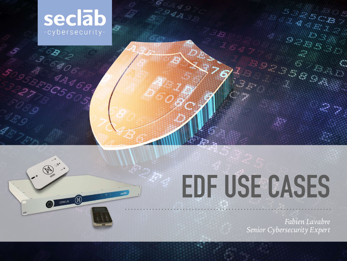

3 CENCE

DENELIS DE

seclat

ARCS605

# **EDF USE CASES**

*Fabien Lavabre Senior Cybersecurity Expert*

 $\frac{1}{2}$  ,  $\frac{1}{2}$ 

C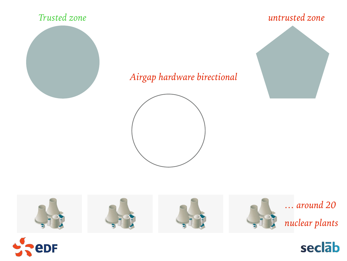## Trusted zone



## untrusted zone



## Airgap hardware birectional







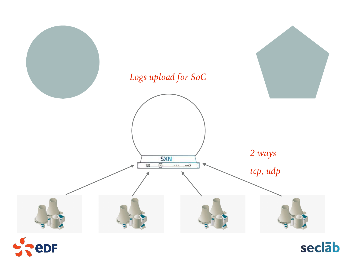

edF

seclab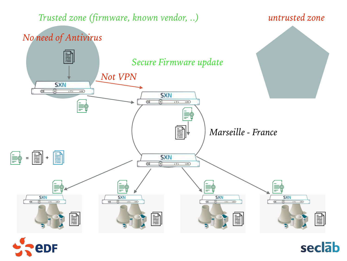*Trusted zone (firmware, known vendor, ..) untrusted zone*



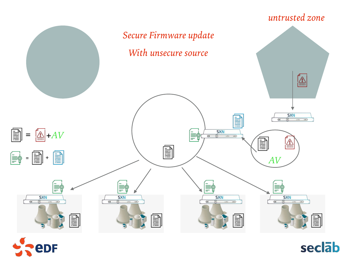#### *untrusted zone Secure Firmware update With unsecure source* Á  $S X N$ ≣  $\boxed{\triangleq}$  + *AV*  $\begin{array}{c|c}\n & & \text{S} \times N \\
\hline\n\text{or} & \text{or} & \text{or} & \text{on}\n\end{array}$ ≣ቁ  $\mathbb{A}$ 圁  $\textbf{E}$  $\begin{bmatrix} \mathbb{R}^3 & \mathbb{R} \end{bmatrix}$  +  $\begin{bmatrix} \mathbb{R}^3 \end{bmatrix}$ *AV*≣¢ ≣ቁ ⊯≣ F  $rac{\text{SNN}}{8}$   $\longrightarrow$  $S X N$  $rac{\text{SNN}}{8}$   $rac{1}{2}$  $S X N$  $\sigma$  $\sigma$ **MARKET AND ALL AND AND ALL AND ACTION**  $\boxed{\phantom{1}}$ Ê B **POST** iiiii¦ **MATHELIAN MATHEMATICA**



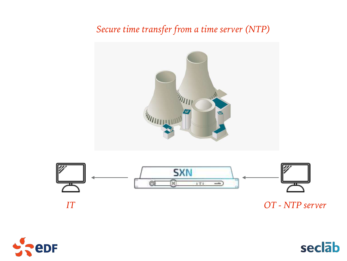## *Secure time transfer from a time server (NTP)*





*IT OT - NTP server*



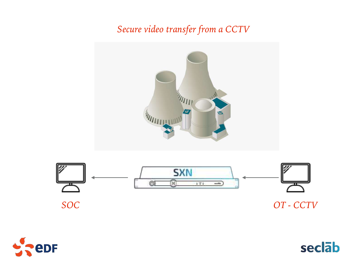## *Secure video transfer from a CCTV*





*SOC OT - CCTV*



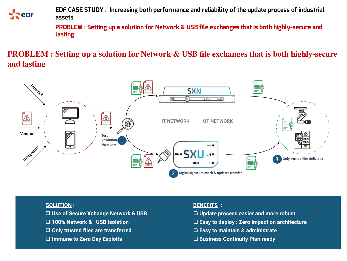

**EDF CASE STUDY : Increasing both performance and reliability of the update process of industrial assets**

**PROBLEM : Setting up a solution for Network & USB file exchanges that is both highly-secure and lasting**

**PROBLEM : Setting up a solution for Network & USB file exchanges that is both highly-secure and lasting**



#### **SOLUTION :**

- q **Use of Secure Xchange Network & USB**
- q **100% Network & USB isolation**
- q **Only trusted files are transferred**
- □ Immune to Zero Day Exploits

#### **BENEFITS :**

- q **Update process easier and more robust**
- q **Easy to deploy : Zero impact on architecture**
- q **Easy to maintain & administrate**
- q **Business Continuity Plan ready**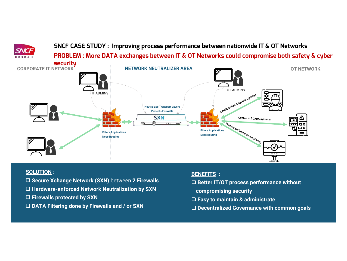**SNCF CASE STUDY : Improving process performance between nationwide IT & OT Networks**

**PROBLEM : More DATA exchanges between IT & OT Networks could compromise both safety & cyber** 



#### **SOLUTION :**

- q **Secure Xchange Network (SXN)** between **2 Firewalls**
- □ Hardware-enforced Network Neutralization by SXN
- □ Firewalls protected by SXN
- □ DATA Filtering done by Firewalls and / or SXN

#### **BENEFITS :**

- □ Better IT/OT process performance without
- **compromising security**
- q **Easy to maintain & administrate**
- □ Decentralized Governance with common goals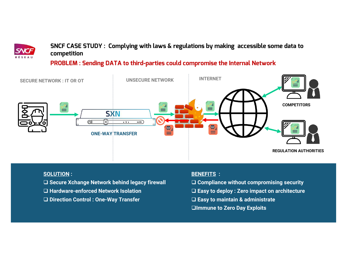

### **SNCF CASE STUDY : Complying with laws & regulations by making accessible some data to competition**

### **PROBLEM : Sending DATA to third-parties could compromise the Internal Network**



#### **SOLUTION :**

- □ Secure Xchange Network behind legacy firewall
- q **Hardware-enforced Network Isolation**
- q **Direction Control : One-Way Transfer**

#### **BENEFITS :**

- q **Compliance without compromising security**
- q **Easy to deploy : Zero impact on architecture**
- q **Easy to maintain & administrate**
- **QImmune to Zero Day Exploits**